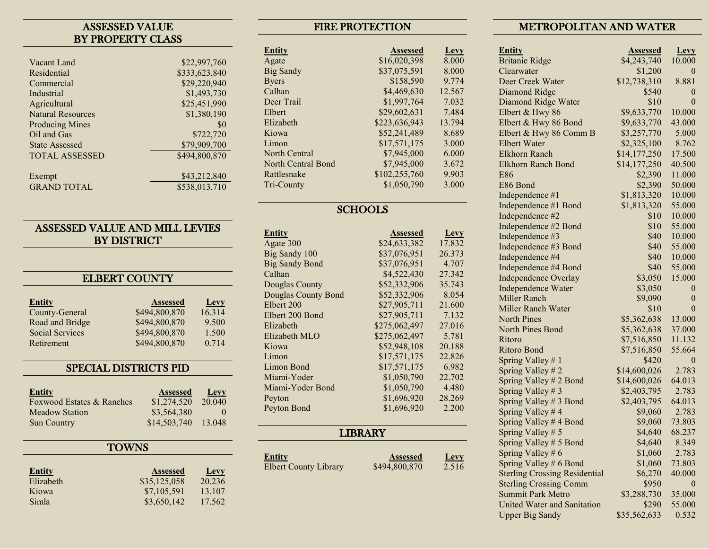## ASSESSED VALUE BY PROPERTY CLASS

| Vacant Land              | \$22,997,760  |
|--------------------------|---------------|
| Residential              | \$333,623,840 |
| Commercial               | \$29,220,940  |
| Industrial               | \$1,493,730   |
| Agricultural             | \$25,451,990  |
| <b>Natural Resources</b> | \$1,380,190   |
| <b>Producing Mines</b>   | \$0           |
| Oil and Gas              | \$722,720     |
| <b>State Assessed</b>    | \$79,909,700  |
| <b>TOTAL ASSESSED</b>    | \$494,800,870 |
|                          |               |
| Exempt                   | \$43,212,840  |
| <b>GRAND TOTAL</b>       | \$538,013,710 |
|                          |               |

# ASSESSED VALUE AND MILL LEVIES BY DISTRICT

## ELBERT COUNTY

| <b>Entity</b>          | <b>Assessed</b> | Levy   |
|------------------------|-----------------|--------|
| County-General         | \$494,800,870   | 16.314 |
| Road and Bridge        | \$494,800,870   | 9.500  |
| <b>Social Services</b> | \$494,800,870   | 1.500  |
| Retirement             | \$494,800,870   | 0.714  |

# SPECIAL DISTRICTS PID

| <b>Entity</b>             | <b>Assessed</b> | Levy     |
|---------------------------|-----------------|----------|
| Foxwood Estates & Ranches | \$1,274,520     | 20.040   |
| Meadow Station            | \$3,564,380     | $\Omega$ |
| <b>Sun Country</b>        | \$14,503,740    | 13.048   |

### **TOWNS**

| <b>Entity</b> | <b>Assessed</b> | <b>Levy</b> |
|---------------|-----------------|-------------|
| Elizabeth     | \$35,125,058    | 20.236      |
| Kiowa         | \$7,105,591     | 13.107      |
| Simla         | \$3,650,142     | 17.562      |

# FIRE PROTECTION

| <b>Entity</b>      | <b>Assessed</b> | Levy   |
|--------------------|-----------------|--------|
| Agate              | \$16,020,398    | 8.000  |
| <b>Big Sandy</b>   | \$37,075,591    | 8.000  |
| <b>Byers</b>       | \$158,590       | 9.774  |
| Calhan             | \$4,469,630     | 12.567 |
| Deer Trail         | \$1,997,764     | 7.032  |
| Elbert             | \$29,602,631    | 7.484  |
| Elizabeth          | \$223,636,943   | 13.794 |
| Kiowa              | \$52,241,489    | 8.689  |
| Limon              | \$17,571,175    | 3.000  |
| North Central      | \$7,945,000     | 6.000  |
| North Central Bond | \$7,945,000     | 3.672  |
| Rattlesnake        | \$102,255,760   | 9.903  |
| Tri-County         | \$1,050,790     | 3.000  |

# **SCHOOLS**

| Entity                     | <b>Assessed</b> | Levy   |
|----------------------------|-----------------|--------|
| Agate 300                  | \$24,633,382    | 17.832 |
| Big Sandy 100              | \$37,076,951    | 26.373 |
| <b>Big Sandy Bond</b>      | \$37,076,951    | 4.707  |
| Calhan                     | \$4,522,430     | 27.342 |
| Douglas County             | \$52,332,906    | 35.743 |
| <b>Douglas County Bond</b> | \$52,332,906    | 8.054  |
| Elbert 200                 | \$27,905,711    | 21.600 |
| Elbert 200 Bond            | \$27,905,711    | 7.132  |
| Elizabeth                  | \$275,062,497   | 27.016 |
| Elizabeth MLO              | \$275,062,497   | 5.781  |
| Kiowa                      | \$52,948,108    | 20.188 |
| Limon                      | \$17,571,175    | 22.826 |
| Limon Bond                 | \$17,571,175    | 6.982  |
| Miami-Yoder                | \$1,050,790     | 22.702 |
| Miami-Yoder Bond           | \$1,050,790     | 4.480  |
| Peyton                     | \$1,696,920     | 28.269 |
| Peyton Bond                | \$1,696,920     | 2.200  |

# **LIBRARY**

**Entity**<br>Elbert County Library **1944,800,870 Levy**<br>2.516 Elbert County Library

## METROPOLITAN AND WATER

| <b>Entity</b>                        | <b>Assessed</b> | <b>Levy</b>      |
|--------------------------------------|-----------------|------------------|
| <b>Britanie Ridge</b>                | \$4,243,740     | 10.000           |
| Clearwater                           | \$1,200         | 0                |
| Deer Creek Water                     | \$12,738,310    | 8.881            |
| Diamond Ridge                        | \$540           | 0                |
| Diamond Ridge Water                  | \$10            | $\overline{0}$   |
| Elbert & Hwy 86                      | \$9,633,770     | 10.000           |
| Elbert & Hwy 86 Bond                 | \$9,633,770     | 43.000           |
| Elbert & Hwy 86 Comm B               | \$3,257,770     | 5.000            |
| <b>Elbert Water</b>                  | \$2,325,100     | 8.762            |
| <b>Elkhorn Ranch</b>                 | \$14,177,250    | 17.500           |
| <b>Elkhorn Ranch Bond</b>            | \$14,177,250    | 40.500           |
| <b>E86</b>                           | \$2,390         | 11.000           |
| E86 Bond                             | \$2,390         | 50.000           |
| Independence #1                      | \$1,813,320     | 10.000           |
| Independence #1 Bond                 | \$1,813,320     | 55.000           |
| Independence #2                      | \$10            | 10.000           |
| Independence #2 Bond                 | \$10            | 55.000           |
| Independence #3                      | \$40            | 10.000           |
| Independence #3 Bond                 | \$40            | 55.000           |
| Independence #4                      | \$40            | 10.000           |
| Independence #4 Bond                 | \$40            | 55.000           |
| Independence Overlay                 | \$3,050         | 15.000           |
| Independence Water                   | \$3,050         | 0                |
| Miller Ranch                         | \$9,090         | $\boldsymbol{0}$ |
| <b>Miller Ranch Water</b>            | \$10            | $\overline{0}$   |
| <b>North Pines</b>                   | \$5,362,638     | 13.000           |
| North Pines Bond                     | \$5,362,638     | 37.000           |
| Ritoro                               | \$7,516,850     | 11.132           |
| Ritoro Bond                          | \$7,516,850     | 55.664           |
| Spring Valley #1                     | \$420           | 0                |
| Spring Valley #2                     | \$14,600,026    | 2.783            |
| Spring Valley # 2 Bond               | \$14,600,026    | 64.013           |
| Spring Valley # 3                    | \$2,403,795     | 2.783            |
| Spring Valley # 3 Bond               | \$2,403,795     | 64.013           |
| Spring Valley #4                     | \$9,060         | 2.783            |
| Spring Valley # 4 Bond               | \$9,060         | 73.803           |
| Spring Valley # 5                    | \$4,640         | 68.237           |
| Spring Valley # 5 Bond               | \$4,640         | 8.349            |
| Spring Valley # 6                    | \$1,060         | 2.783            |
| Spring Valley # 6 Bond               | \$1,060         | 73.803           |
| <b>Sterling Crossing Residential</b> | \$6,270         | 40.000           |
| <b>Sterling Crossing Comm</b>        | \$950           | $\theta$         |
| <b>Summit Park Metro</b>             | \$3,288,730     | 35.000           |
| United Water and Sanitation          | \$290           | 55.000           |
| <b>Upper Big Sandy</b>               | \$35,562,633    | 0.532            |